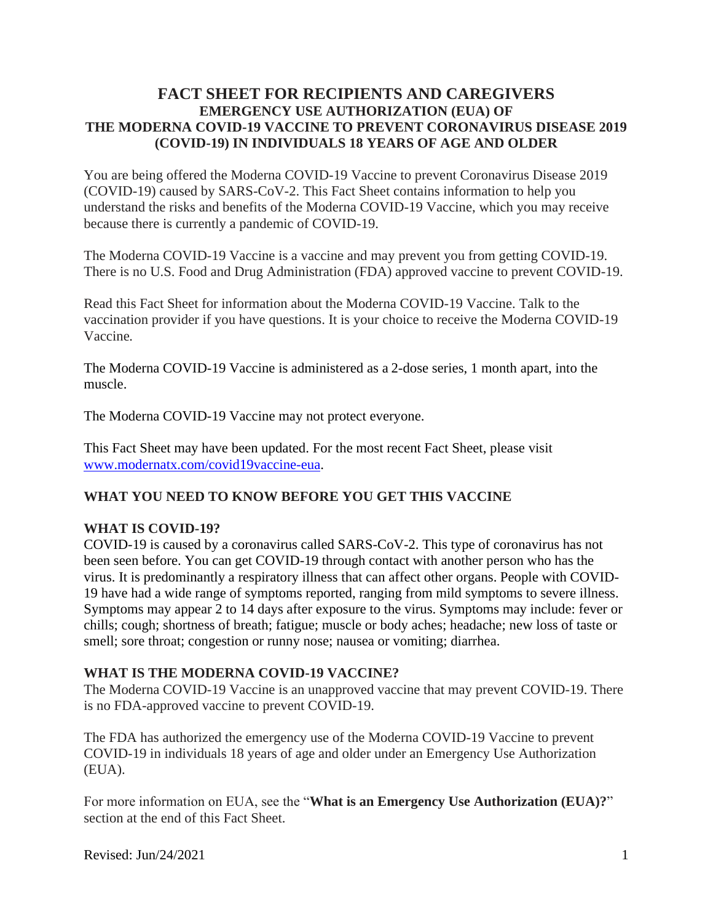### **FACT SHEET FOR RECIPIENTS AND CAREGIVERS EMERGENCY USE AUTHORIZATION (EUA) OF THE MODERNA COVID-19 VACCINE TO PREVENT CORONAVIRUS DISEASE 2019 (COVID-19) IN INDIVIDUALS 18 YEARS OF AGE AND OLDER**

You are being offered the Moderna COVID-19 Vaccine to prevent Coronavirus Disease 2019 (COVID-19) caused by SARS-CoV-2. This Fact Sheet contains information to help you understand the risks and benefits of the Moderna COVID-19 Vaccine, which you may receive because there is currently a pandemic of COVID-19.

The Moderna COVID-19 Vaccine is a vaccine and may prevent you from getting COVID-19. There is no U.S. Food and Drug Administration (FDA) approved vaccine to prevent COVID-19.

Read this Fact Sheet for information about the Moderna COVID-19 Vaccine. Talk to the vaccination provider if you have questions. It is your choice to receive the Moderna COVID-19 Vaccine*.*

The Moderna COVID-19 Vaccine is administered as a 2-dose series, 1 month apart, into the muscle.

The Moderna COVID-19 Vaccine may not protect everyone.

This Fact Sheet may have been updated. For the most recent Fact Sheet, please visit www.modernatx.com/covid19vaccine-eua.

#### **WHAT YOU NEED TO KNOW BEFORE YOU GET THIS VACCINE**

#### **WHAT IS COVID-19?**

COVID-19 is caused by a coronavirus called SARS-CoV-2. This type of coronavirus has not been seen before. You can get COVID-19 through contact with another person who has the virus. It is predominantly a respiratory illness that can affect other organs. People with COVID-19 have had a wide range of symptoms reported, ranging from mild symptoms to severe illness. Symptoms may appear 2 to 14 days after exposure to the virus. Symptoms may include: fever or chills; cough; shortness of breath; fatigue; muscle or body aches; headache; new loss of taste or smell; sore throat; congestion or runny nose; nausea or vomiting; diarrhea.

#### **WHAT IS THE MODERNA COVID-19 VACCINE?**

The Moderna COVID-19 Vaccine is an unapproved vaccine that may prevent COVID-19. There is no FDA-approved vaccine to prevent COVID-19.

The FDA has authorized the emergency use of the Moderna COVID-19 Vaccine to prevent COVID-19 in individuals 18 years of age and older under an Emergency Use Authorization (EUA).

For more information on EUA, see the "**What is an Emergency Use Authorization (EUA)?**" section at the end of this Fact Sheet.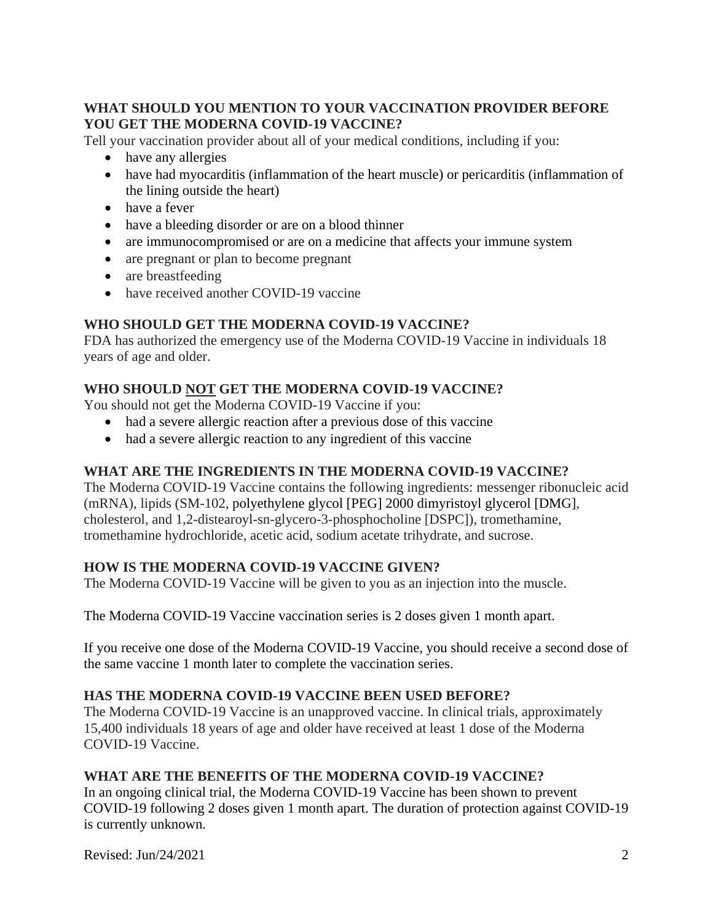### **WHAT SHOULD YOU MENTION TO YOUR VACCINATION PROVIDER BEFORE YOU GET THE MODERNA COVID-19 VACCINE?**

Tell your vaccination provider about all of your medical conditions, including if you:

- have any allergies
- have had myocarditis (inflammation of the heart muscle) or pericarditis (inflammation of the lining outside the heart)
- have a fever
- have a bleeding disorder or are on a blood thinner
- are immunocompromised or are on a medicine that affects your immune system
- are pregnant or plan to become pregnant
- are breastfeeding
- have received another COVID-19 vaccine

# **WHO SHOULD GET THE MODERNA COVID-19 VACCINE?**

FDA has authorized the emergency use of the Moderna COVID-19 Vaccine in individuals 18 years of age and older.

# **WHO SHOULD NOT GET THE MODERNA COVID-19 VACCINE?**

You should not get the Moderna COVID-19 Vaccine if you:

- had a severe allergic reaction after a previous dose of this vaccine
- had a severe allergic reaction to any ingredient of this vaccine

# **WHAT ARE THE INGREDIENTS IN THE MODERNA COVID-19 VACCINE?**

The Moderna COVID-19 Vaccine contains the following ingredients: messenger ribonucleic acid (mRNA), lipids (SM-102, polyethylene glycol [PEG] 2000 dimyristoyl glycerol [DMG], cholesterol, and 1,2-distearoyl-sn-glycero-3-phosphocholine [DSPC]), tromethamine, tromethamine hydrochloride, acetic acid, sodium acetate trihydrate, and sucrose.

# **HOW IS THE MODERNA COVID-19 VACCINE GIVEN?**

The Moderna COVID-19 Vaccine will be given to you as an injection into the muscle.

The Moderna COVID-19 Vaccine vaccination series is 2 doses given 1 month apart.

If you receive one dose of the Moderna COVID-19 Vaccine, you should receive a second dose of the same vaccine 1 month later to complete the vaccination series.

# **HAS THE MODERNA COVID-19 VACCINE BEEN USED BEFORE?**

The Moderna COVID-19 Vaccine is an unapproved vaccine. In clinical trials, approximately 15,400 individuals 18 years of age and older have received at least 1 dose of the Moderna COVID-19 Vaccine.

# **WHAT ARE THE BENEFITS OF THE MODERNA COVID-19 VACCINE?**

In an ongoing clinical trial, the Moderna COVID-19 Vaccine has been shown to prevent COVID-19 following 2 doses given 1 month apart. The duration of protection against COVID-19 is currently unknown.

Revised:  $\text{Im}/24/2021$  2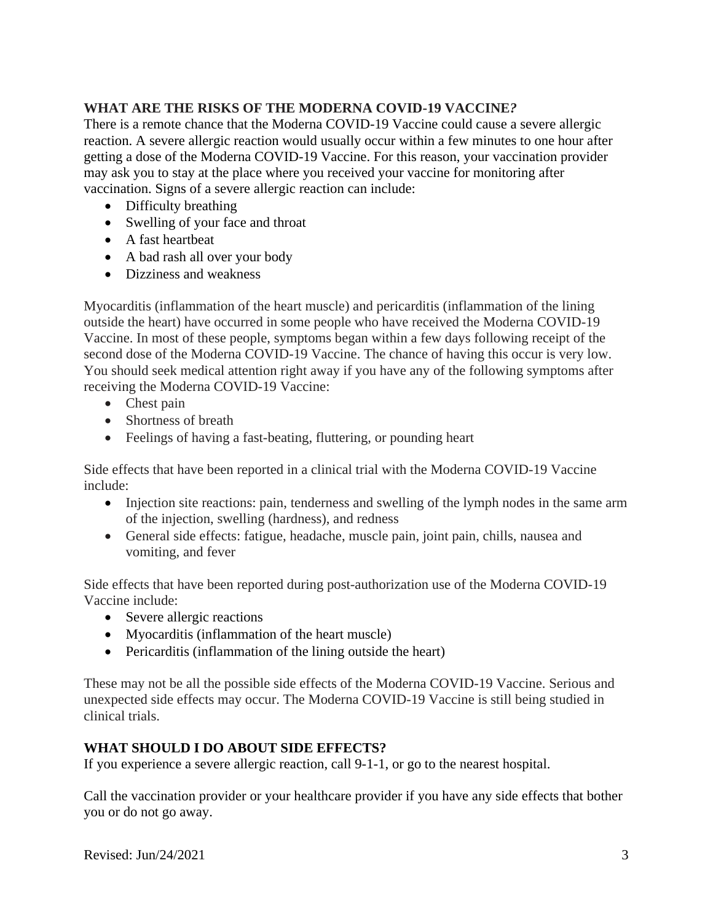# **WHAT ARE THE RISKS OF THE MODERNA COVID-19 VACCINE***?*

There is a remote chance that the Moderna COVID-19 Vaccine could cause a severe allergic reaction. A severe allergic reaction would usually occur within a few minutes to one hour after getting a dose of the Moderna COVID-19 Vaccine. For this reason, your vaccination provider may ask you to stay at the place where you received your vaccine for monitoring after vaccination. Signs of a severe allergic reaction can include:

- Difficulty breathing
- Swelling of your face and throat
- A fast heartbeat
- A bad rash all over your body
- Dizziness and weakness

Myocarditis (inflammation of the heart muscle) and pericarditis (inflammation of the lining outside the heart) have occurred in some people who have received the Moderna COVID-19 Vaccine. In most of these people, symptoms began within a few days following receipt of the second dose of the Moderna COVID-19 Vaccine. The chance of having this occur is very low. You should seek medical attention right away if you have any of the following symptoms after receiving the Moderna COVID-19 Vaccine:

- Chest pain
- Shortness of breath
- Feelings of having a fast-beating, fluttering, or pounding heart

Side effects that have been reported in a clinical trial with the Moderna COVID-19 Vaccine include:

- Injection site reactions: pain, tenderness and swelling of the lymph nodes in the same arm of the injection, swelling (hardness), and redness
- General side effects: fatigue, headache, muscle pain, joint pain, chills, nausea and vomiting, and fever

Side effects that have been reported during post-authorization use of the Moderna COVID-19 Vaccine include:

- Severe allergic reactions
- Myocarditis (inflammation of the heart muscle)
- Pericarditis (inflammation of the lining outside the heart)

These may not be all the possible side effects of the Moderna COVID-19 Vaccine. Serious and unexpected side effects may occur. The Moderna COVID-19 Vaccine is still being studied in clinical trials.

# **WHAT SHOULD I DO ABOUT SIDE EFFECTS?**

If you experience a severe allergic reaction, call 9-1-1, or go to the nearest hospital.

Call the vaccination provider or your healthcare provider if you have any side effects that bother you or do not go away.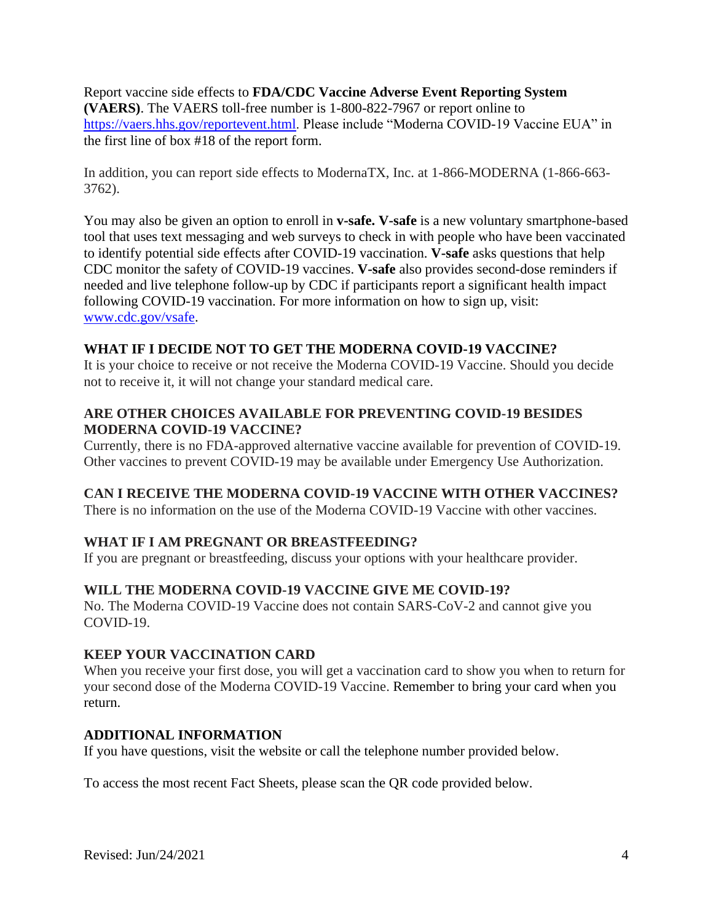Report vaccine side effects to **FDA/CDC Vaccine Adverse Event Reporting System (VAERS)**. The VAERS toll-free number is 1-800-822-7967 or report online to https://vaers.hhs.gov/reportevent.html. Please include "Moderna COVID-19 Vaccine EUA" in the first line of box #18 of the report form.

In addition, you can report side effects to ModernaTX, Inc. at 1-866-MODERNA (1-866-663- 3762).

You may also be given an option to enroll in **v-safe. V-safe** is a new voluntary smartphone-based tool that uses text messaging and web surveys to check in with people who have been vaccinated to identify potential side effects after COVID-19 vaccination. **V-safe** asks questions that help CDC monitor the safety of COVID-19 vaccines. **V-safe** also provides second-dose reminders if needed and live telephone follow-up by CDC if participants report a significant health impact following COVID-19 vaccination. For more information on how to sign up, visit: www.cdc.gov/vsafe.

### **WHAT IF I DECIDE NOT TO GET THE MODERNA COVID-19 VACCINE?**

It is your choice to receive or not receive the Moderna COVID-19 Vaccine. Should you decide not to receive it, it will not change your standard medical care.

#### **ARE OTHER CHOICES AVAILABLE FOR PREVENTING COVID-19 BESIDES MODERNA COVID-19 VACCINE?**

Currently, there is no FDA-approved alternative vaccine available for prevention of COVID-19. Other vaccines to prevent COVID-19 may be available under Emergency Use Authorization.

# **CAN I RECEIVE THE MODERNA COVID-19 VACCINE WITH OTHER VACCINES?**

There is no information on the use of the Moderna COVID-19 Vaccine with other vaccines.

# **WHAT IF I AM PREGNANT OR BREASTFEEDING?**

If you are pregnant or breastfeeding, discuss your options with your healthcare provider.

# **WILL THE MODERNA COVID-19 VACCINE GIVE ME COVID-19?**

No. The Moderna COVID-19 Vaccine does not contain SARS-CoV-2 and cannot give you COVID-19.

#### **KEEP YOUR VACCINATION CARD**

When you receive your first dose, you will get a vaccination card to show you when to return for your second dose of the Moderna COVID-19 Vaccine. Remember to bring your card when you return.

#### **ADDITIONAL INFORMATION**

If you have questions, visit the website or call the telephone number provided below.

To access the most recent Fact Sheets, please scan the QR code provided below.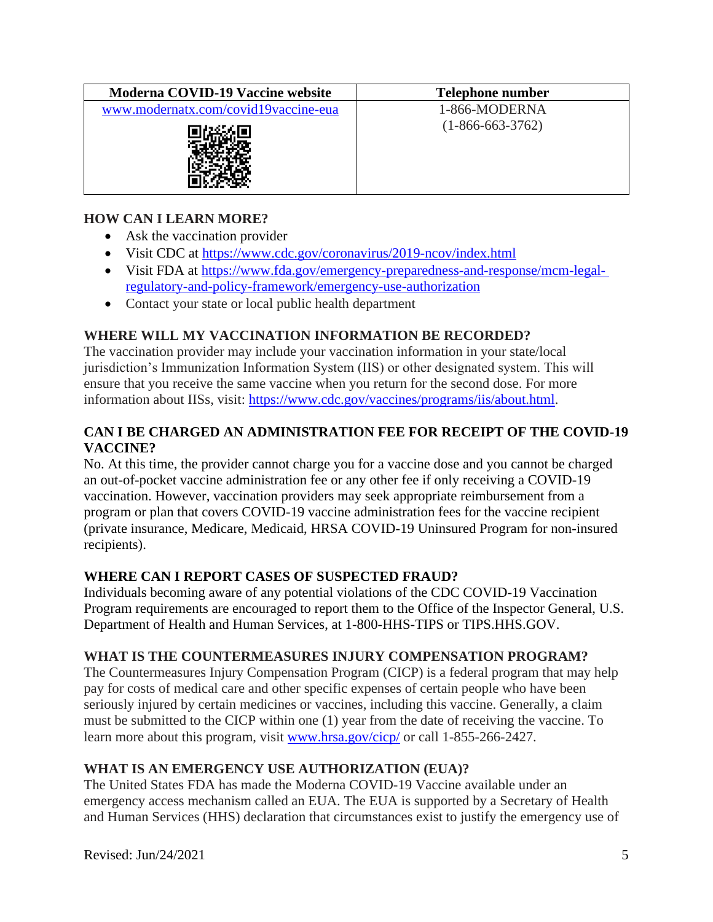| <b>Moderna COVID-19 Vaccine website</b> | <b>Telephone number</b> |
|-----------------------------------------|-------------------------|
| www.modernatx.com/covid19vaccine-eua    | 1-866-MODERNA           |
|                                         | $(1-866-663-3762)$      |

### **HOW CAN I LEARN MORE?**

- Ask the vaccination provider
- Visit CDC at https://www.cdc.gov/coronavirus/2019-ncov/index.html
- Visit FDA at https://www.fda.gov/emergency-preparedness-and-response/mcm-legalregulatory-and-policy-framework/emergency-use-authorization
- Contact your state or local public health department

### **WHERE WILL MY VACCINATION INFORMATION BE RECORDED?**

The vaccination provider may include your vaccination information in your state/local jurisdiction's Immunization Information System (IIS) or other designated system. This will ensure that you receive the same vaccine when you return for the second dose. For more information about IISs, visit: https://www.cdc.gov/vaccines/programs/iis/about.html.

### **CAN I BE CHARGED AN ADMINISTRATION FEE FOR RECEIPT OF THE COVID-19 VACCINE?**

No. At this time, the provider cannot charge you for a vaccine dose and you cannot be charged an out-of-pocket vaccine administration fee or any other fee if only receiving a COVID-19 vaccination. However, vaccination providers may seek appropriate reimbursement from a program or plan that covers COVID-19 vaccine administration fees for the vaccine recipient (private insurance, Medicare, Medicaid, HRSA COVID-19 Uninsured Program for non-insured recipients).

#### **WHERE CAN I REPORT CASES OF SUSPECTED FRAUD?**

Individuals becoming aware of any potential violations of the CDC COVID-19 Vaccination Program requirements are encouraged to report them to the Office of the Inspector General, U.S. Department of Health and Human Services, at 1-800-HHS-TIPS or TIPS.HHS.GOV.

#### **WHAT IS THE COUNTERMEASURES INJURY COMPENSATION PROGRAM?**

The Countermeasures Injury Compensation Program (CICP) is a federal program that may help pay for costs of medical care and other specific expenses of certain people who have been seriously injured by certain medicines or vaccines, including this vaccine. Generally, a claim must be submitted to the CICP within one (1) year from the date of receiving the vaccine. To learn more about this program, visit www.hrsa.gov/cicp/ or call 1-855-266-2427.

#### **WHAT IS AN EMERGENCY USE AUTHORIZATION (EUA)?**

The United States FDA has made the Moderna COVID-19 Vaccine available under an emergency access mechanism called an EUA. The EUA is supported by a Secretary of Health and Human Services (HHS) declaration that circumstances exist to justify the emergency use of